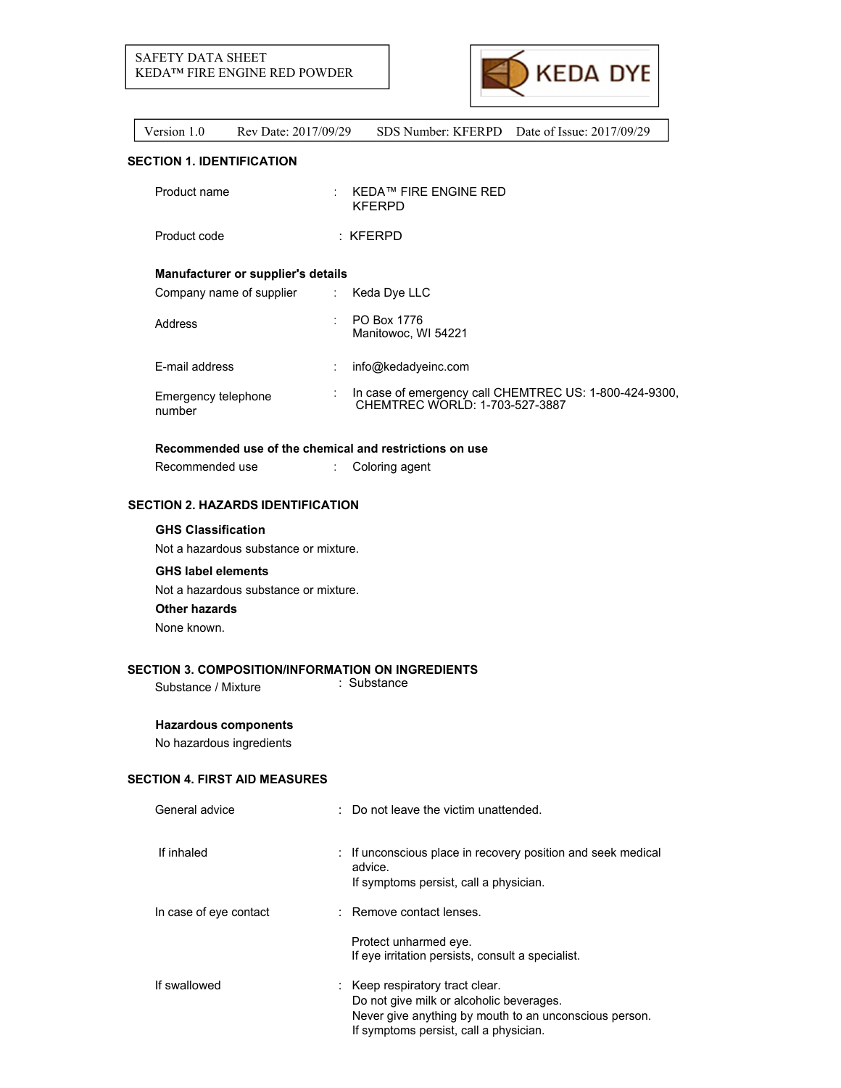

# **SECTION 1. IDENTIFICATION**

| Product name                       |                           | KEDA™ FIRE ENGINE RED<br><b>KFERPD</b>                                                   |
|------------------------------------|---------------------------|------------------------------------------------------------------------------------------|
| Product code                       |                           | $:$ KFERPD                                                                               |
| Manufacturer or supplier's details |                           |                                                                                          |
| Company name of supplier           | $\mathbb{Z}^{\mathbb{Z}}$ | Keda Dye LLC                                                                             |
| Address                            |                           | PO Box 1776<br>Manitowoc, WI 54221                                                       |
| <b>F-mail address</b>              |                           | info@kedadyeinc.com                                                                      |
| Emergency telephone<br>number      |                           | In case of emergency call CHEMTREC US: 1-800-424-9300,<br>CHEMTREC WORLD: 1-703-527-3887 |

## **Recommended use of the chemical and restrictions on use**

Recommended use : Coloring agent

# **SECTION 2. HAZARDS IDENTIFICATION**

## **GHS Classification**

Not a hazardous substance or mixture.

## **GHS label elements**

Not a hazardous substance or mixture. **Other hazards**

None known.

# **SECTION 3. COMPOSITION/INFORMATION ON INGREDIENTS**<br>Substance Mixture : Substance

Substance / Mixture

# **Hazardous components**

No hazardous ingredients

# **SECTION 4. FIRST AID MEASURES**

| General advice         | $\therefore$ Do not leave the victim unattended.                                                                                                                                |
|------------------------|---------------------------------------------------------------------------------------------------------------------------------------------------------------------------------|
| If inhaled             | : If unconscious place in recovery position and seek medical<br>advice.<br>If symptoms persist, call a physician.                                                               |
| In case of eye contact | : Remove contact lenses.                                                                                                                                                        |
|                        | Protect unharmed eye.<br>If eye irritation persists, consult a specialist.                                                                                                      |
| If swallowed           | : Keep respiratory tract clear.<br>Do not give milk or alcoholic beverages.<br>Never give anything by mouth to an unconscious person.<br>If symptoms persist, call a physician. |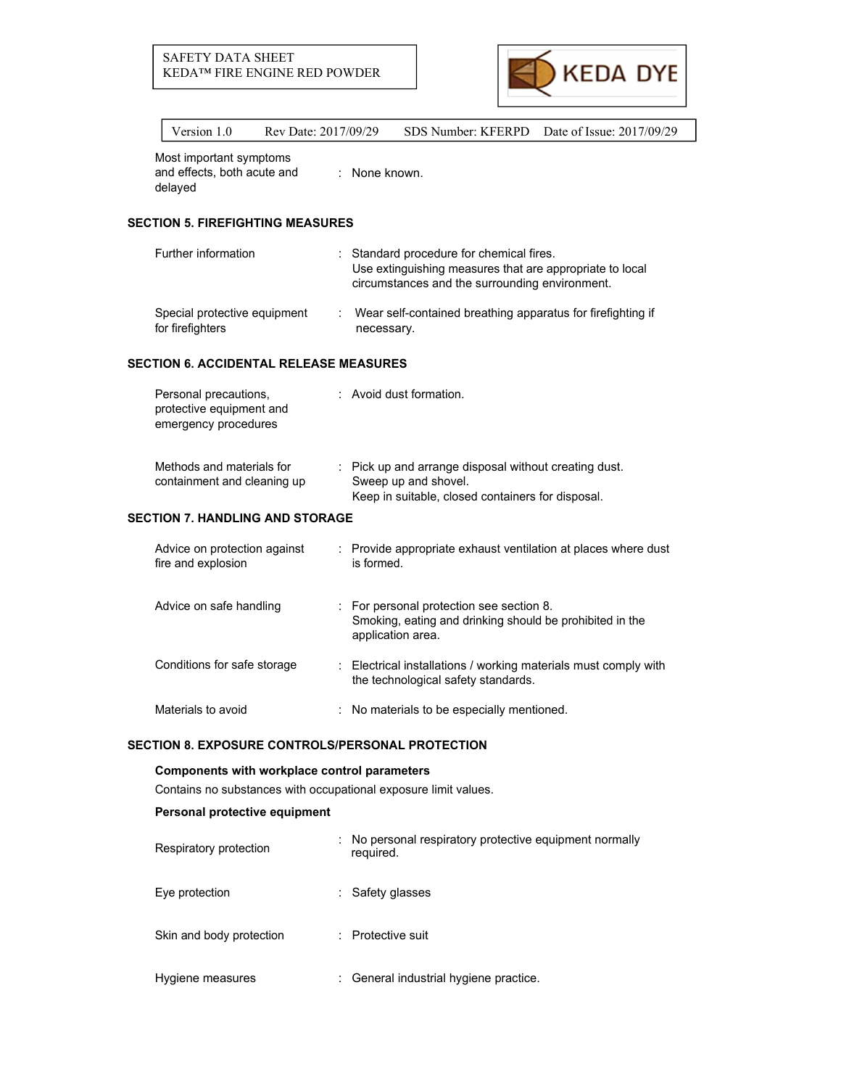

Most important symptoms

and effects, both acute and delayed : None known.

# **SECTION 5. FIREFIGHTING MEASURES**

| Further information          | : Standard procedure for chemical fires.<br>Use extinguishing measures that are appropriate to local<br>circumstances and the surrounding environment. |
|------------------------------|--------------------------------------------------------------------------------------------------------------------------------------------------------|
| Special protective equipment | Wear self-contained breathing apparatus for firefighting if                                                                                            |
| for firefighters             | necessary.                                                                                                                                             |

## **SECTION 6. ACCIDENTAL RELEASE MEASURES**

| Personal precautions,<br>protective equipment and<br>emergency procedures | : Avoid dust formation.                                                                                                            |
|---------------------------------------------------------------------------|------------------------------------------------------------------------------------------------------------------------------------|
| Methods and materials for<br>containment and cleaning up                  | : Pick up and arrange disposal without creating dust.<br>Sweep up and shovel.<br>Keep in suitable, closed containers for disposal. |

# **SECTION 7. HANDLING AND STORAGE**

| Advice on protection against<br>fire and explosion |    | Provide appropriate exhaust ventilation at places where dust<br>is formed.                                              |
|----------------------------------------------------|----|-------------------------------------------------------------------------------------------------------------------------|
| Advice on safe handling                            |    | For personal protection see section 8.<br>Smoking, eating and drinking should be prohibited in the<br>application area. |
| Conditions for safe storage                        | ÷. | Electrical installations / working materials must comply with<br>the technological safety standards.                    |
| Materials to avoid                                 |    | : No materials to be especially mentioned.                                                                              |

## **SECTION 8. EXPOSURE CONTROLS/PERSONAL PROTECTION**

# **Components with workplace control parameters**

Contains no substances with occupational exposure limit values.

# **Personal protective equipment**

| Respiratory protection   | No personal respiratory protective equipment normally<br>required. |
|--------------------------|--------------------------------------------------------------------|
| Eye protection           | : Safety glasses                                                   |
| Skin and body protection | : Protective suit                                                  |
| Hygiene measures         | : General industrial hygiene practice.                             |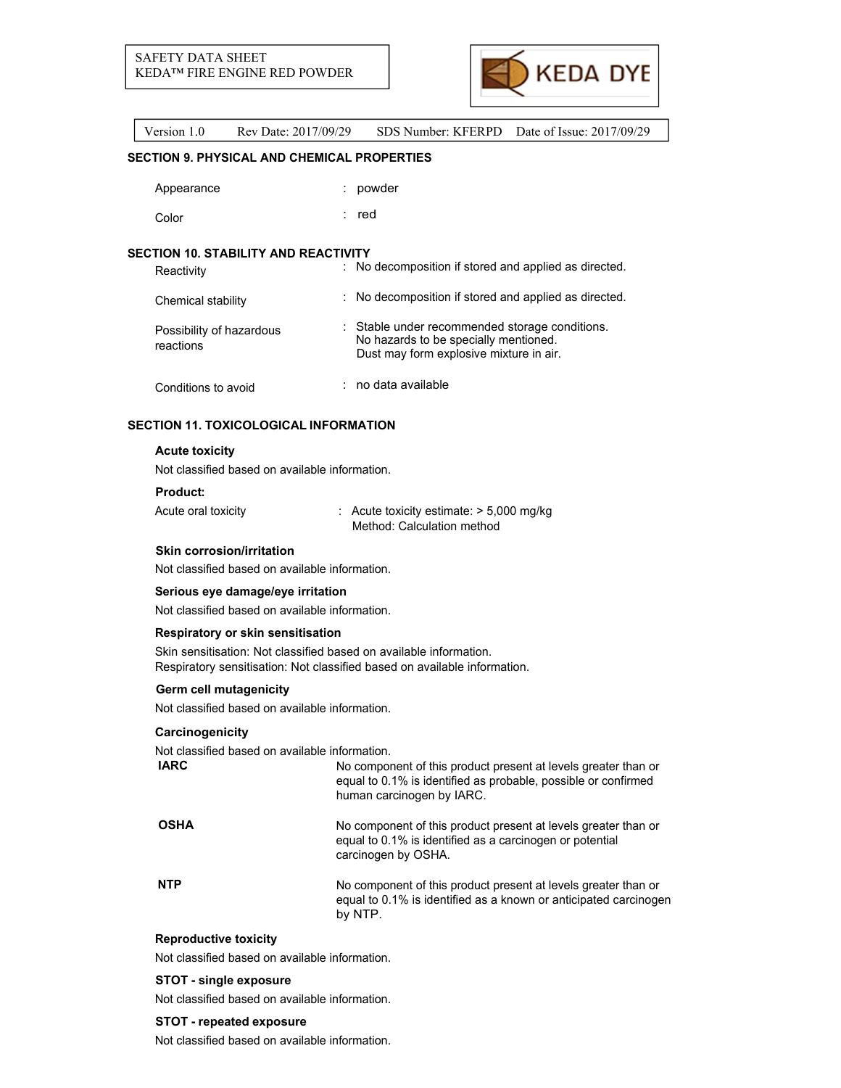

## **SECTION 9. PHYSICAL AND CHEMICAL PROPERTIES**

| : powder |
|----------|
|          |

Color : red

# **SECTION 10. STABILITY AND REACTIVITY**

| Reactivity                            | : No decomposition if stored and applied as directed.                                                                              |
|---------------------------------------|------------------------------------------------------------------------------------------------------------------------------------|
| Chemical stability                    | : No decomposition if stored and applied as directed.                                                                              |
| Possibility of hazardous<br>reactions | : Stable under recommended storage conditions.<br>No hazards to be specially mentioned.<br>Dust may form explosive mixture in air. |
| Conditions to avoid                   | : no data available                                                                                                                |

# **SECTION 11. TOXICOLOGICAL INFORMATION**

#### **Acute toxicity**

Not classified based on available information.

#### **Product:**

| Acute oral toxicity | $\therefore$ Acute toxicity estimate: $>$ 5,000 mg/kg |
|---------------------|-------------------------------------------------------|
|                     | Method: Calculation method                            |

## **Skin corrosion/irritation**

Not classified based on available information.

#### **Serious eye damage/eye irritation**

Not classified based on available information.

#### **Respiratory or skin sensitisation**

Skin sensitisation: Not classified based on available information. Respiratory sensitisation: Not classified based on available information.

#### **Germ cell mutagenicity**

Not classified based on available information.

## **Carcinogenicity**

Not classified based on available information.

| <b>OSHA</b><br>equal to 0.1% is identified as a carcinogen or potential<br>carcinogen by OSHA.<br><b>NTP</b><br>by NTP. | <b>IARC</b> | No component of this product present at levels greater than or<br>equal to 0.1% is identified as probable, possible or confirmed<br>human carcinogen by IARC. |
|-------------------------------------------------------------------------------------------------------------------------|-------------|---------------------------------------------------------------------------------------------------------------------------------------------------------------|
|                                                                                                                         |             | No component of this product present at levels greater than or                                                                                                |
|                                                                                                                         |             | No component of this product present at levels greater than or<br>equal to 0.1% is identified as a known or anticipated carcinogen                            |

# **Reproductive toxicity**

Not classified based on available information.

## **STOT - single exposure**

Not classified based on available information.

#### **STOT - repeated exposure**

Not classified based on available information.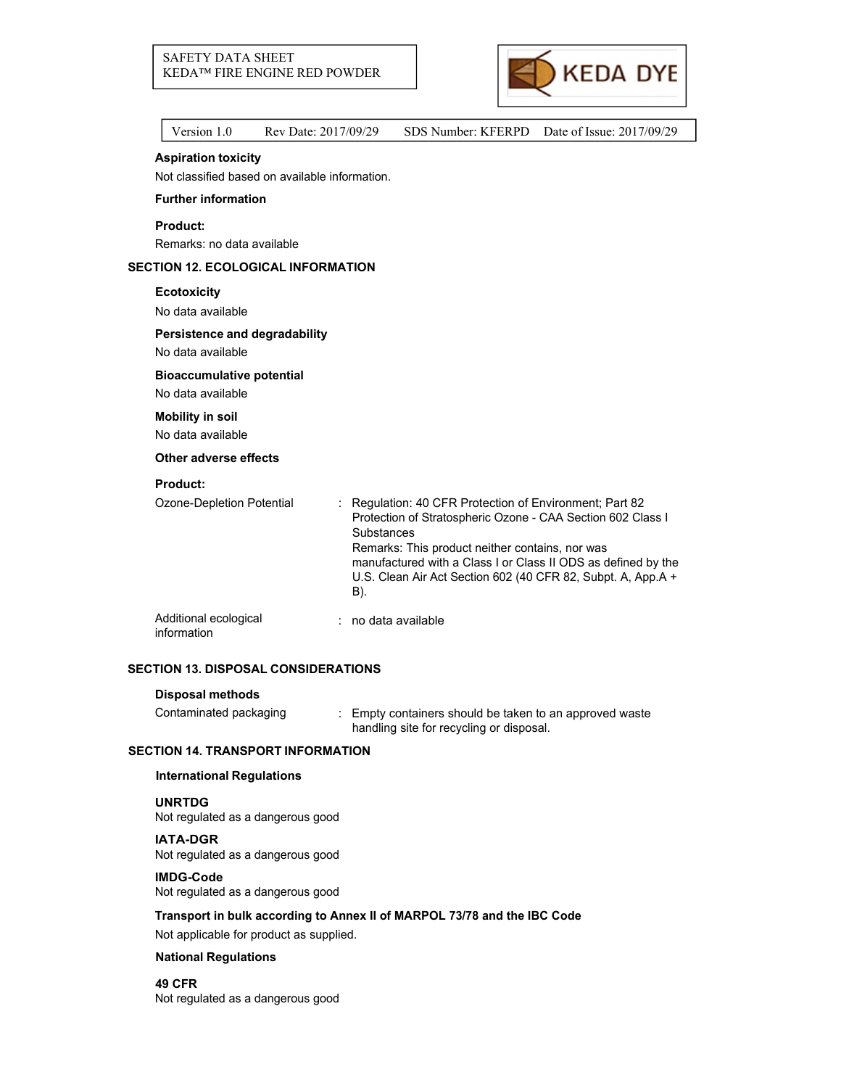

|  | Version 1.0                                    | Rev Date: 2017/09/29 |                   | SDS Number: KFERPD                                                                                                                                                        | Date of Issue: 2017/09/29                                                                                                     |
|--|------------------------------------------------|----------------------|-------------------|---------------------------------------------------------------------------------------------------------------------------------------------------------------------------|-------------------------------------------------------------------------------------------------------------------------------|
|  | <b>Aspiration toxicity</b>                     |                      |                   |                                                                                                                                                                           |                                                                                                                               |
|  | Not classified based on available information. |                      |                   |                                                                                                                                                                           |                                                                                                                               |
|  | <b>Further information</b>                     |                      |                   |                                                                                                                                                                           |                                                                                                                               |
|  | <b>Product:</b>                                |                      |                   |                                                                                                                                                                           |                                                                                                                               |
|  | Remarks: no data available                     |                      |                   |                                                                                                                                                                           |                                                                                                                               |
|  | <b>SECTION 12. ECOLOGICAL INFORMATION</b>      |                      |                   |                                                                                                                                                                           |                                                                                                                               |
|  | <b>Ecotoxicity</b>                             |                      |                   |                                                                                                                                                                           |                                                                                                                               |
|  | No data available                              |                      |                   |                                                                                                                                                                           |                                                                                                                               |
|  | Persistence and degradability                  |                      |                   |                                                                                                                                                                           |                                                                                                                               |
|  | No data available                              |                      |                   |                                                                                                                                                                           |                                                                                                                               |
|  | <b>Bioaccumulative potential</b>               |                      |                   |                                                                                                                                                                           |                                                                                                                               |
|  | No data available                              |                      |                   |                                                                                                                                                                           |                                                                                                                               |
|  | <b>Mobility in soil</b>                        |                      |                   |                                                                                                                                                                           |                                                                                                                               |
|  | No data available                              |                      |                   |                                                                                                                                                                           |                                                                                                                               |
|  | Other adverse effects                          |                      |                   |                                                                                                                                                                           |                                                                                                                               |
|  | <b>Product:</b>                                |                      |                   |                                                                                                                                                                           |                                                                                                                               |
|  | Ozone-Depletion Potential                      |                      | Substances<br>B). | : Regulation: 40 CFR Protection of Environment; Part 82<br>Protection of Stratospheric Ozone - CAA Section 602 Class I<br>Remarks: This product neither contains, nor was | manufactured with a Class I or Class II ODS as defined by the<br>U.S. Clean Air Act Section 602 (40 CFR 82, Subpt. A, App.A + |
|  | Additional ecological                          |                      |                   | no data available                                                                                                                                                         |                                                                                                                               |

information

# **SECTION 13. DISPOSAL CONSIDERATIONS**

# **Disposal methods**

| Contaminated packaging | Empty containers should be taken to an approved waste |
|------------------------|-------------------------------------------------------|
|                        | handling site for recycling or disposal.              |

## **SECTION 14. TRANSPORT INFORMATION**

## **International Regulations**

#### **UNRTDG**

Not regulated as a dangerous good

## **IATA-DGR**

Not regulated as a dangerous good

# **IMDG-Code**

Not regulated as a dangerous good

## **Transport in bulk according to Annex II of MARPOL 73/78 and the IBC Code**

Not applicable for product as supplied.

#### **National Regulations**

**49 CFR** Not regulated as a dangerous good